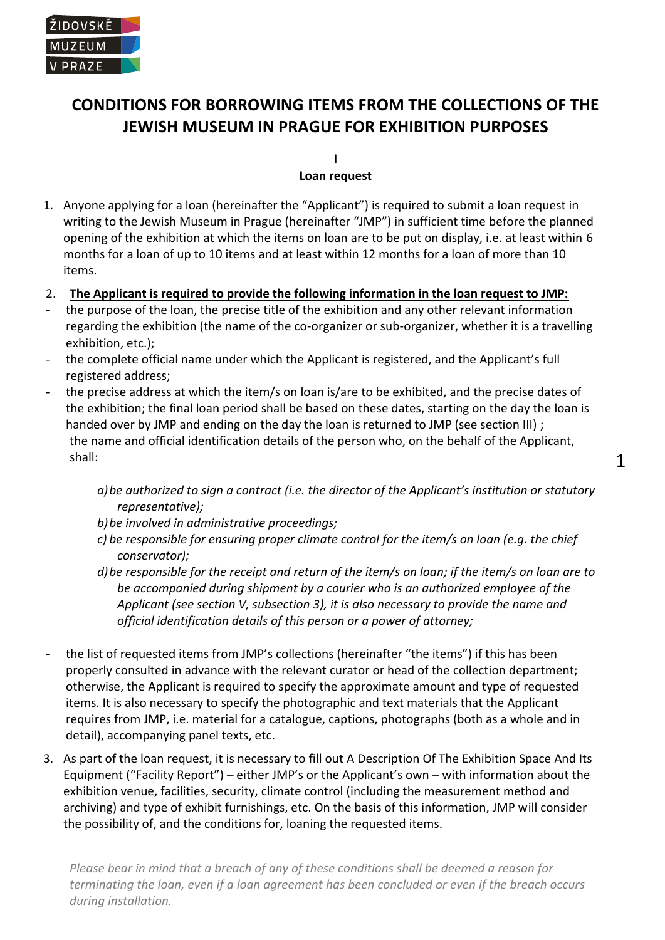# **CONDITIONS FOR BORROWING ITEMS FROM THE COLLECTIONS OF THE JEWISH MUSEUM IN PRAGUE FOR EXHIBITION PURPOSES**

**I Loan request** 

# 1. Anyone applying for a loan (hereinafter the "Applicant") is required to submit a loan request in writing to the Jewish Museum in Prague (hereinafter "JMP") in sufficient time before the planned opening of the exhibition at which the items on loan are to be put on display, i.e. at least within 6 months for a loan of up to 10 items and at least within 12 months for a loan of more than 10 items.

- 2. **The Applicant is required to provide the following information in the loan request to JMP:**
- the purpose of the loan, the precise title of the exhibition and any other relevant information regarding the exhibition (the name of the co-organizer or sub-organizer, whether it is a travelling exhibition, etc.);
- the complete official name under which the Applicant is registered, and the Applicant's full registered address;
- the precise address at which the item/s on loan is/are to be exhibited, and the precise dates of the exhibition; the final loan period shall be based on these dates, starting on the day the loan is handed over by JMP and ending on the day the loan is returned to JMP (see section III) ; the name and official identification details of the person who, on the behalf of the Applicant, shall:
	- *a)be authorized to sign a contract (i.e. the director of the Applicant's institution or statutory representative);*
	- *b)be involved in administrative proceedings;*
	- *c) be responsible for ensuring proper climate control for the item/s on loan (e.g. the chief conservator);*
	- *d)be responsible for the receipt and return of the item/s on loan; if the item/s on loan are to be accompanied during shipment by a courier who is an authorized employee of the Applicant (see section V, subsection 3), it is also necessary to provide the name and official identification details of this person or a power of attorney;*
- the list of requested items from JMP's collections (hereinafter "the items") if this has been properly consulted in advance with the relevant curator or head of the collection department; otherwise, the Applicant is required to specify the approximate amount and type of requested items. It is also necessary to specify the photographic and text materials that the Applicant requires from JMP, i.e. material for a catalogue, captions, photographs (both as a whole and in detail), accompanying panel texts, etc.
- 3. As part of the loan request, it is necessary to fill out A Description Of The Exhibition Space And Its Equipment ("Facility Report") – either JMP's or the Applicant's own – with information about the exhibition venue, facilities, security, climate control (including the measurement method and archiving) and type of exhibit furnishings, etc. On the basis of this information, JMP will consider the possibility of, and the conditions for, loaning the requested items.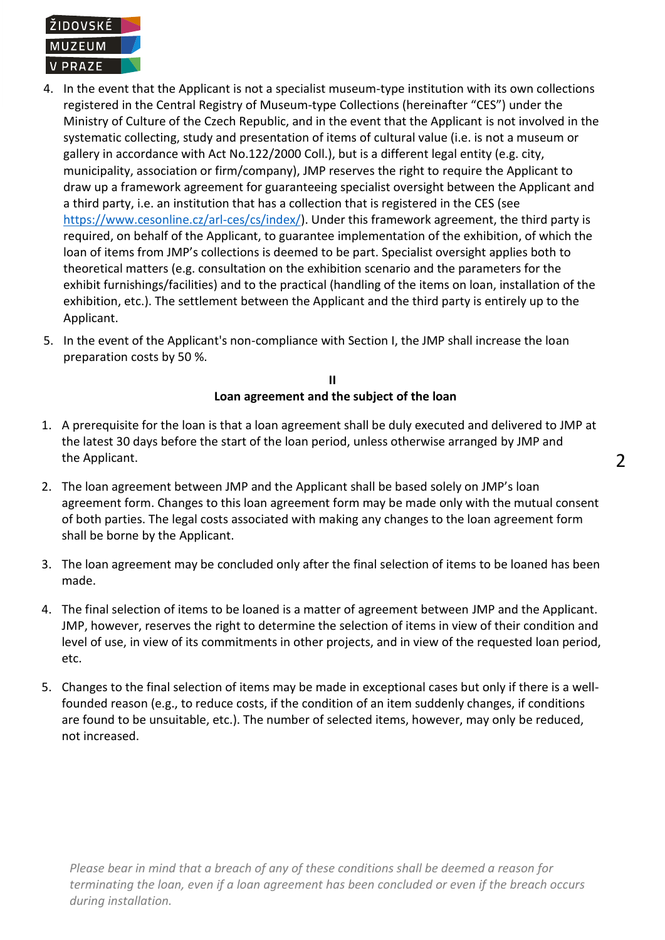

- 4. In the event that the Applicant is not a specialist museum-type institution with its own collections registered in the Central Registry of Museum-type Collections (hereinafter "CES") under the Ministry of Culture of the Czech Republic, and in the event that the Applicant is not involved in the systematic collecting, study and presentation of items of cultural value (i.e. is not a museum or gallery in accordance with Act No.122/2000 Coll.), but is a different legal entity (e.g. city, municipality, association or firm/company), JMP reserves the right to require the Applicant to draw up a framework agreement for guaranteeing specialist oversight between the Applicant and a third party, i.e. an institution that has a collection that is registered in the CES (see [https://www.cesonline.cz/arl-ces/cs/index/\)](https://www.cesonline.cz/arl-ces/cs/index/). Under this framework agreement, the third party is required, on behalf of the Applicant, to guarantee implementation of the exhibition, of which the loan of items from JMP's collections is deemed to be part. Specialist oversight applies both to theoretical matters (e.g. consultation on the exhibition scenario and the parameters for the exhibit furnishings/facilities) and to the practical (handling of the items on loan, installation of the exhibition, etc.). The settlement between the Applicant and the third party is entirely up to the Applicant.
- 5. In the event of the Applicant's non-compliance with Section I, the JMP shall increase the loan preparation costs by 50 %.

**II Loan agreement and the subject of the loan**

- 1. A prerequisite for the loan is that a loan agreement shall be duly executed and delivered to JMP at the latest 30 days before the start of the loan period, unless otherwise arranged by JMP and the Applicant.
- 2. The loan agreement between JMP and the Applicant shall be based solely on JMP's loan agreement form. Changes to this loan agreement form may be made only with the mutual consent of both parties. The legal costs associated with making any changes to the loan agreement form shall be borne by the Applicant.
- 3. The loan agreement may be concluded only after the final selection of items to be loaned has been made.
- 4. The final selection of items to be loaned is a matter of agreement between JMP and the Applicant. JMP, however, reserves the right to determine the selection of items in view of their condition and level of use, in view of its commitments in other projects, and in view of the requested loan period, etc.
- 5. Changes to the final selection of items may be made in exceptional cases but only if there is a wellfounded reason (e.g., to reduce costs, if the condition of an item suddenly changes, if conditions are found to be unsuitable, etc.). The number of selected items, however, may only be reduced, not increased.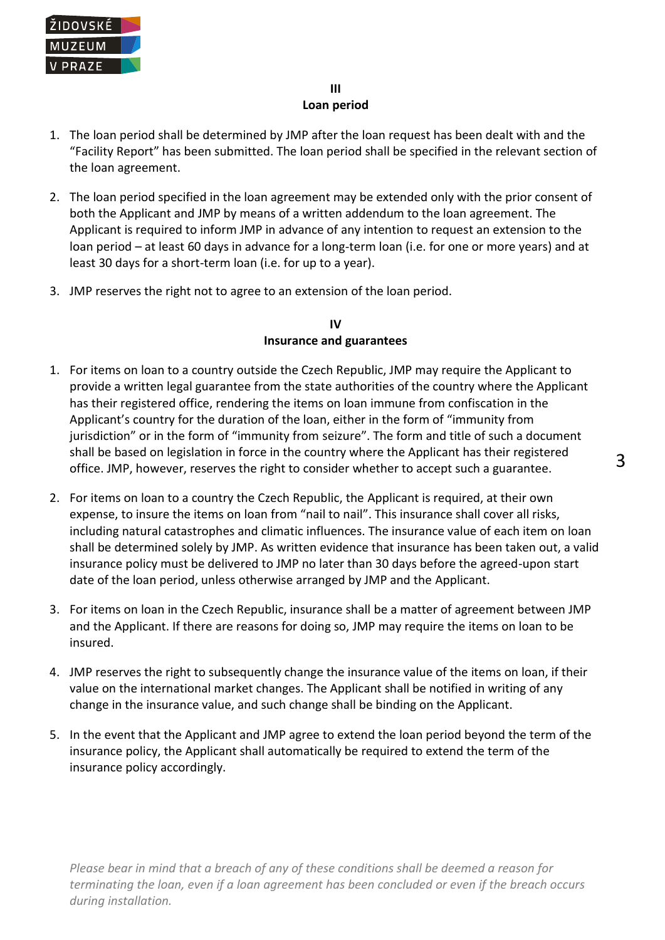

## **III Loan period**

- 1. The loan period shall be determined by JMP after the loan request has been dealt with and the "Facility Report" has been submitted. The loan period shall be specified in the relevant section of the loan agreement.
- 2. The loan period specified in the loan agreement may be extended only with the prior consent of both the Applicant and JMP by means of a written addendum to the loan agreement. The Applicant is required to inform JMP in advance of any intention to request an extension to the loan period – at least 60 days in advance for a long-term loan (i.e. for one or more years) and at least 30 days for a short-term loan (i.e. for up to a year).
- 3. JMP reserves the right not to agree to an extension of the loan period.

## **IV Insurance and guarantees**

- 1. For items on loan to a country outside the Czech Republic, JMP may require the Applicant to provide a written legal guarantee from the state authorities of the country where the Applicant has their registered office, rendering the items on loan immune from confiscation in the Applicant's country for the duration of the loan, either in the form of "immunity from jurisdiction" or in the form of "immunity from seizure". The form and title of such a document shall be based on legislation in force in the country where the Applicant has their registered office. JMP, however, reserves the right to consider whether to accept such a guarantee.
- 2. For items on loan to a country the Czech Republic, the Applicant is required, at their own expense, to insure the items on loan from "nail to nail". This insurance shall cover all risks, including natural catastrophes and climatic influences. The insurance value of each item on loan shall be determined solely by JMP. As written evidence that insurance has been taken out, a valid insurance policy must be delivered to JMP no later than 30 days before the agreed-upon start date of the loan period, unless otherwise arranged by JMP and the Applicant.
- 3. For items on loan in the Czech Republic, insurance shall be a matter of agreement between JMP and the Applicant. If there are reasons for doing so, JMP may require the items on loan to be insured.
- 4. JMP reserves the right to subsequently change the insurance value of the items on loan, if their value on the international market changes. The Applicant shall be notified in writing of any change in the insurance value, and such change shall be binding on the Applicant.
- 5. In the event that the Applicant and JMP agree to extend the loan period beyond the term of the insurance policy, the Applicant shall automatically be required to extend the term of the insurance policy accordingly.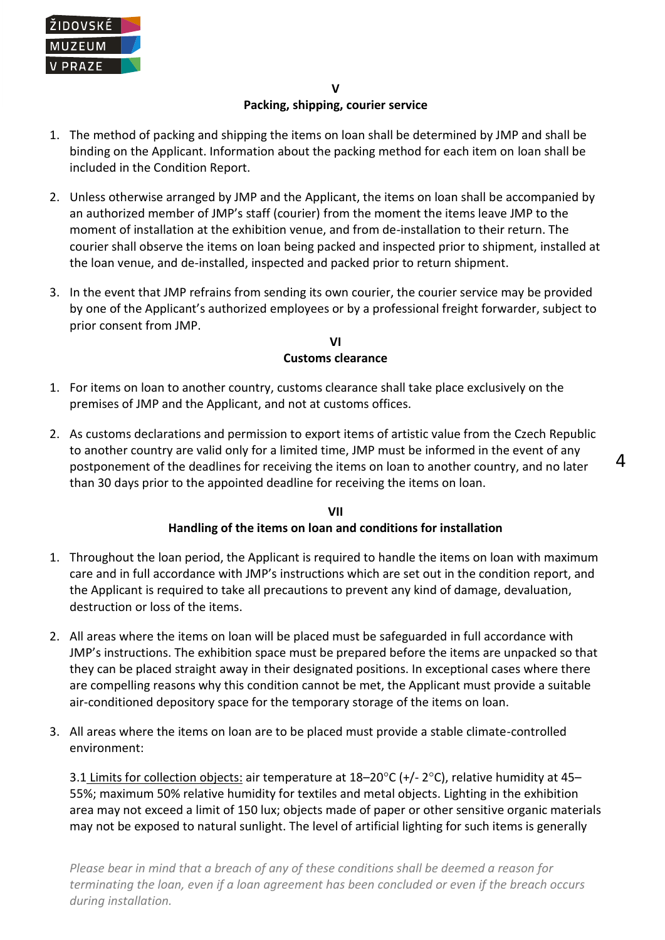

- 1. The method of packing and shipping the items on loan shall be determined by JMP and shall be binding on the Applicant. Information about the packing method for each item on loan shall be included in the Condition Report.
- 2. Unless otherwise arranged by JMP and the Applicant, the items on loan shall be accompanied by an authorized member of JMP's staff (courier) from the moment the items leave JMP to the moment of installation at the exhibition venue, and from de-installation to their return. The courier shall observe the items on loan being packed and inspected prior to shipment, installed at the loan venue, and de-installed, inspected and packed prior to return shipment.
- 3. In the event that JMP refrains from sending its own courier, the courier service may be provided by one of the Applicant's authorized employees or by a professional freight forwarder, subject to prior consent from JMP.

#### **VI Customs clearance**

- 1. For items on loan to another country, customs clearance shall take place exclusively on the premises of JMP and the Applicant, and not at customs offices.
- 2. As customs declarations and permission to export items of artistic value from the Czech Republic to another country are valid only for a limited time, JMP must be informed in the event of any postponement of the deadlines for receiving the items on loan to another country, and no later than 30 days prior to the appointed deadline for receiving the items on loan.

 $\Delta$ 

#### **VII Handling of the items on loan and conditions for installation**

- 1. Throughout the loan period, the Applicant is required to handle the items on loan with maximum care and in full accordance with JMP's instructions which are set out in the condition report, and the Applicant is required to take all precautions to prevent any kind of damage, devaluation, destruction or loss of the items.
- 2. All areas where the items on loan will be placed must be safeguarded in full accordance with JMP's instructions. The exhibition space must be prepared before the items are unpacked so that they can be placed straight away in their designated positions. In exceptional cases where there are compelling reasons why this condition cannot be met, the Applicant must provide a suitable air-conditioned depository space for the temporary storage of the items on loan.
- 3. All areas where the items on loan are to be placed must provide a stable climate-controlled environment:

3.1 Limits for collection objects: air temperature at  $18-20^{\circ}$ C (+/- 2 $^{\circ}$ C), relative humidity at 45-55%; maximum 50% relative humidity for textiles and metal objects. Lighting in the exhibition area may not exceed a limit of 150 lux; objects made of paper or other sensitive organic materials may not be exposed to natural sunlight. The level of artificial lighting for such items is generally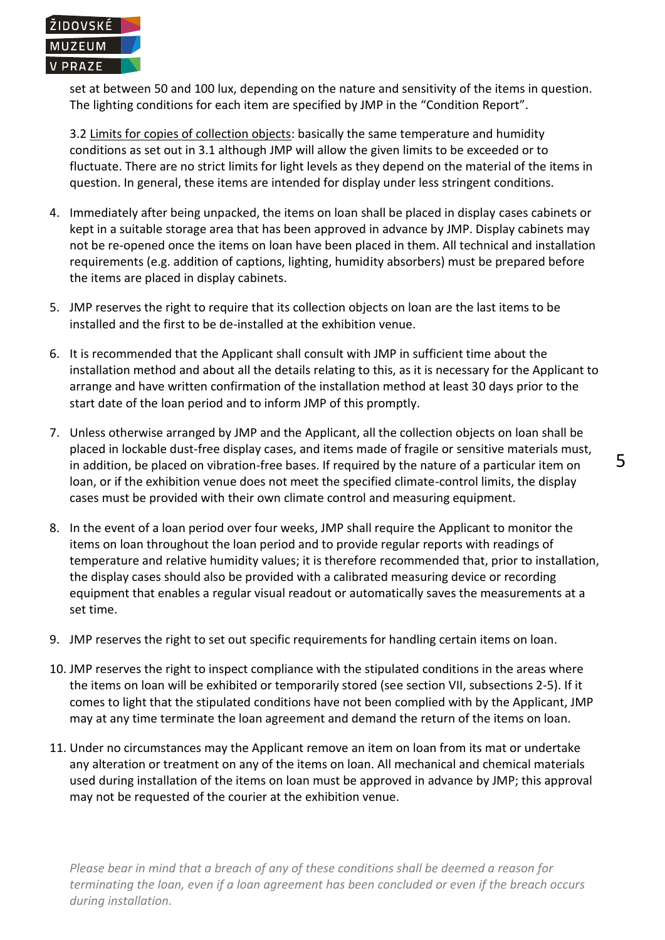

set at between 50 and 100 lux, depending on the nature and sensitivity of the items in question. The lighting conditions for each item are specified by JMP in the "Condition Report".

3.2 Limits for copies of collection objects: basically the same temperature and humidity conditions as set out in 3.1 although JMP will allow the given limits to be exceeded or to fluctuate. There are no strict limits for light levels as they depend on the material of the items in question. In general, these items are intended for display under less stringent conditions.

- 4. Immediately after being unpacked, the items on loan shall be placed in display cases cabinets or kept in a suitable storage area that has been approved in advance by JMP. Display cabinets may not be re-opened once the items on loan have been placed in them. All technical and installation requirements (e.g. addition of captions, lighting, humidity absorbers) must be prepared before the items are placed in display cabinets.
- 5. JMP reserves the right to require that its collection objects on loan are the last items to be installed and the first to be de-installed at the exhibition venue.
- 6. It is recommended that the Applicant shall consult with JMP in sufficient time about the installation method and about all the details relating to this, as it is necessary for the Applicant to arrange and have written confirmation of the installation method at least 30 days prior to the start date of the loan period and to inform JMP of this promptly.
- 7. Unless otherwise arranged by JMP and the Applicant, all the collection objects on loan shall be placed in lockable dust-free display cases, and items made of fragile or sensitive materials must, in addition, be placed on vibration-free bases. If required by the nature of a particular item on loan, or if the exhibition venue does not meet the specified climate-control limits, the display cases must be provided with their own climate control and measuring equipment.
- 8. In the event of a loan period over four weeks, JMP shall require the Applicant to monitor the items on loan throughout the loan period and to provide regular reports with readings of temperature and relative humidity values; it is therefore recommended that, prior to installation, the display cases should also be provided with a calibrated measuring device or recording equipment that enables a regular visual readout or automatically saves the measurements at a set time.
- 9. JMP reserves the right to set out specific requirements for handling certain items on loan.
- 10. JMP reserves the right to inspect compliance with the stipulated conditions in the areas where the items on loan will be exhibited or temporarily stored (see section VII, subsections 2-5). If it comes to light that the stipulated conditions have not been complied with by the Applicant, JMP may at any time terminate the loan agreement and demand the return of the items on loan.
- 11. Under no circumstances may the Applicant remove an item on loan from its mat or undertake any alteration or treatment on any of the items on loan. All mechanical and chemical materials used during installation of the items on loan must be approved in advance by JMP; this approval may not be requested of the courier at the exhibition venue.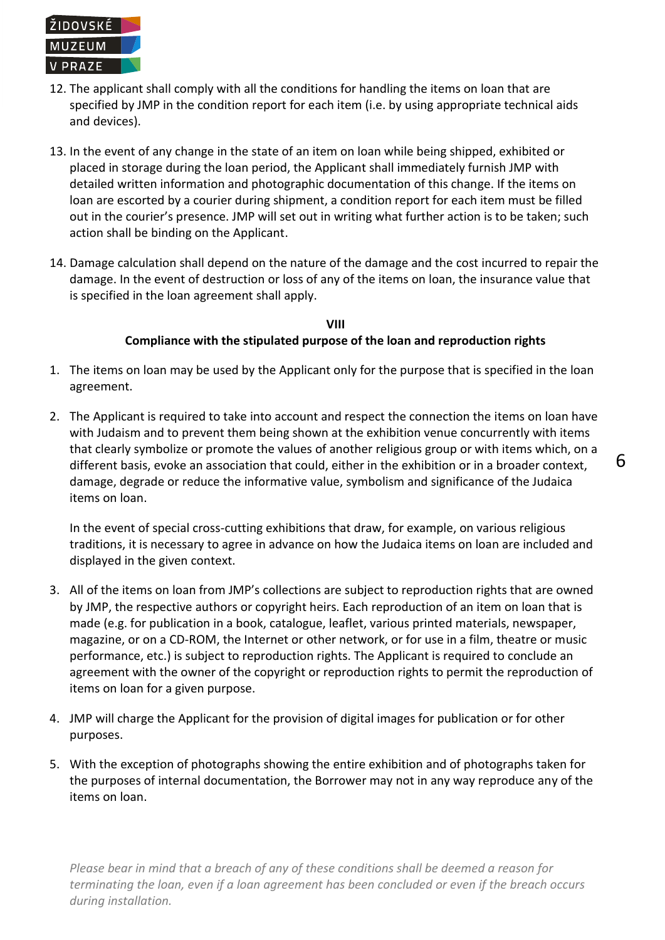

- 12. The applicant shall comply with all the conditions for handling the items on loan that are specified by JMP in the condition report for each item (i.e. by using appropriate technical aids and devices).
- 13. In the event of any change in the state of an item on loan while being shipped, exhibited or placed in storage during the loan period, the Applicant shall immediately furnish JMP with detailed written information and photographic documentation of this change. If the items on loan are escorted by a courier during shipment, a condition report for each item must be filled out in the courier's presence. JMP will set out in writing what further action is to be taken; such action shall be binding on the Applicant.
- 14. Damage calculation shall depend on the nature of the damage and the cost incurred to repair the damage. In the event of destruction or loss of any of the items on loan, the insurance value that is specified in the loan agreement shall apply.

### **VIII Compliance with the stipulated purpose of the loan and reproduction rights**

- 1. The items on loan may be used by the Applicant only for the purpose that is specified in the loan agreement.
- 2. The Applicant is required to take into account and respect the connection the items on loan have with Judaism and to prevent them being shown at the exhibition venue concurrently with items that clearly symbolize or promote the values of another religious group or with items which, on a different basis, evoke an association that could, either in the exhibition or in a broader context, damage, degrade or reduce the informative value, symbolism and significance of the Judaica items on loan.

In the event of special cross-cutting exhibitions that draw, for example, on various religious traditions, it is necessary to agree in advance on how the Judaica items on loan are included and displayed in the given context.

- 3. All of the items on loan from JMP's collections are subject to reproduction rights that are owned by JMP, the respective authors or copyright heirs. Each reproduction of an item on loan that is made (e.g. for publication in a book, catalogue, leaflet, various printed materials, newspaper, magazine, or on a CD-ROM, the Internet or other network, or for use in a film, theatre or music performance, etc.) is subject to reproduction rights. The Applicant is required to conclude an agreement with the owner of the copyright or reproduction rights to permit the reproduction of items on loan for a given purpose.
- 4. JMP will charge the Applicant for the provision of digital images for publication or for other purposes.
- 5. With the exception of photographs showing the entire exhibition and of photographs taken for the purposes of internal documentation, the Borrower may not in any way reproduce any of the items on loan.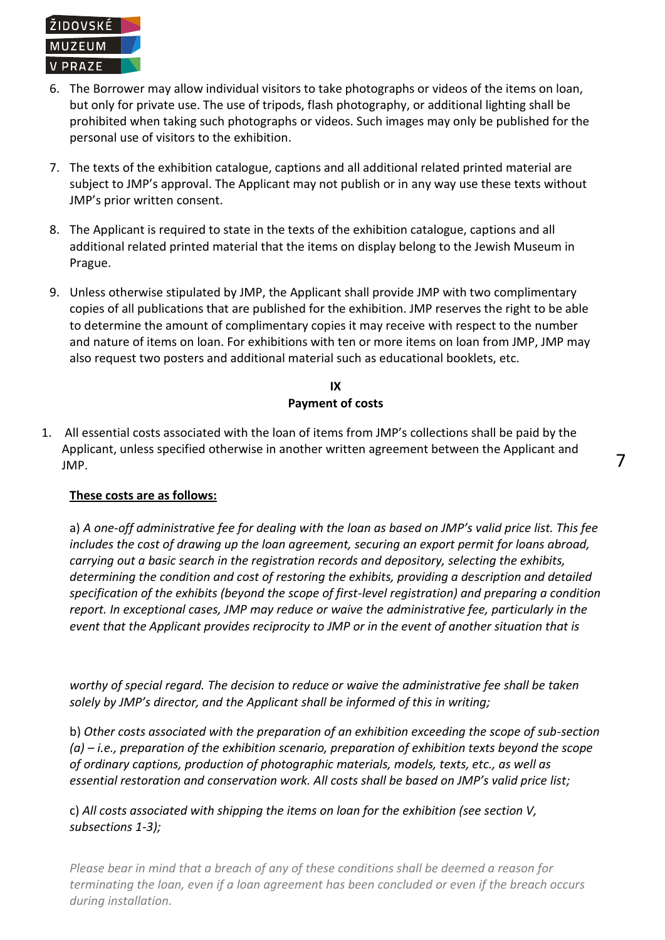

- 6. The Borrower may allow individual visitors to take photographs or videos of the items on loan, but only for private use. The use of tripods, flash photography, or additional lighting shall be prohibited when taking such photographs or videos. Such images may only be published for the personal use of visitors to the exhibition.
- 7. The texts of the exhibition catalogue, captions and all additional related printed material are subject to JMP's approval. The Applicant may not publish or in any way use these texts without JMP's prior written consent.
- 8. The Applicant is required to state in the texts of the exhibition catalogue, captions and all additional related printed material that the items on display belong to the Jewish Museum in Prague.
- 9. Unless otherwise stipulated by JMP, the Applicant shall provide JMP with two complimentary copies of all publications that are published for the exhibition. JMP reserves the right to be able to determine the amount of complimentary copies it may receive with respect to the number and nature of items on loan. For exhibitions with ten or more items on loan from JMP, JMP may also request two posters and additional material such as educational booklets, etc.

## **IX Payment of costs**

1. All essential costs associated with the loan of items from JMP's collections shall be paid by the Applicant, unless specified otherwise in another written agreement between the Applicant and JMP.

# **These costs are as follows:**

a) *A one-off administrative fee for dealing with the loan as based on JMP's valid price list. This fee includes the cost of drawing up the loan agreement, securing an export permit for loans abroad, carrying out a basic search in the registration records and depository, selecting the exhibits, determining the condition and cost of restoring the exhibits, providing a description and detailed specification of the exhibits (beyond the scope of first-level registration) and preparing a condition report. In exceptional cases, JMP may reduce or waive the administrative fee, particularly in the event that the Applicant provides reciprocity to JMP or in the event of another situation that is* 

*worthy of special regard. The decision to reduce or waive the administrative fee shall be taken solely by JMP's director, and the Applicant shall be informed of this in writing;*

b) *Other costs associated with the preparation of an exhibition exceeding the scope of sub-section (a) – i.e., preparation of the exhibition scenario, preparation of exhibition texts beyond the scope of ordinary captions, production of photographic materials, models, texts, etc., as well as essential restoration and conservation work. All costs shall be based on JMP's valid price list;*

c) *All costs associated with shipping the items on loan for the exhibition (see section V, subsections 1-3);*